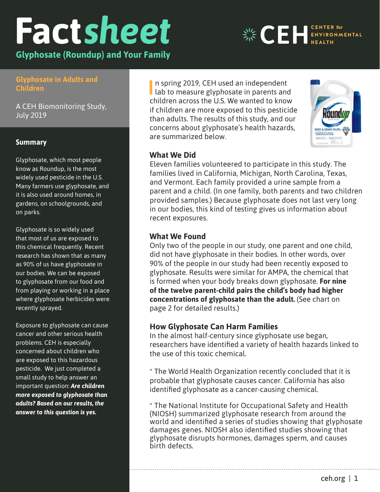# **Fact***[sheet](https://www.ceh.org)*

**Glyphosate (Roundup) and Your Family** 

# **Glyphosate in Adults and Disposable Food Children**

**Containers, and**  A CEH Biomonitoring Study, **Contaminated Food** July 2019

**State of the Evidence, March 2018**

## **Summary**

Glyphosate, which most people **food a** know as Roundup, is the most widely used pesticide in the U.S. it is also used around homes, in gardens, on schoolgrounds, and on parks. The controversial because Many farmers use glyphosate, and

Glyphosate is so widely used that most of us are exposed to this chemical frequently. Recent research has shown that as many our bodies. We can be exposed to glyphosate from our food and from playing or working in a place where glyphosate herbicides were recently sprayed. as 90% of us have glyphosate in

Exposure to glyphosate can cause cancer and other serious health problems. CEH is especially concerned about children who are exposed to this hazardous pesticide. We just completed a small study to help answer an important question: *Are children more exposed to glyphosate than adults? Based on our results, the answer to this question is yes.*

are summarized below. The U.S. Is a component of the U.S. Is a component of the U.S. Is a component of the U.S *6:2 Fluorotelomer (6:2 FTOH)* concerns about glyphosate's health hazards, Lab to measure glyphosate in parents and<br>children across the U.S. We wanted to know children across the U.S. We wanted to know if children are more exposed to this pesticide In spring 2019, CEH used an independent<br>lab to measure glyphosate in parents and n spring 2019, CEH used an independent than adults. The results of this study, and our

**identifies 10 fluoring additional except paper products used to great paper products in the set of paper products of paper products in the set of paper products of paper products in the set of paper products in the set of** Eleven families volunteered to participate in this study. The families lived in California, Michigan, North Carolina, Texas, and Vermont. Each family provided a urine sample from a provided samples.) Because glyphosate does not last very long in our bodies, this kind of testing gives us information about  $\mathcal{F}_{\mathcal{F}}$  is very little found that  $\mathcal{F}_{\mathcal{F}}$  there is very little per-reviewed that  $\mathcal{F}_{\mathcal{F}}$ parent and a child. (In one family, both parents and two children recent exposures.

# **information We Found** 6:2 FTOH. The specifical lines and specifically 6:2 FTOH. The specifical lines and specifically 6:2 FTOH. The specifical lines and specifical lines and specifical lines and specifically 6:2 FTOH. The

did not have glyphosate in their bodies. In other words, over are not here given are a common source in our compared to 90% of the people in our study had been recently exposed to zore of the peepte in our stady had seen recently expected to<br>glyphosate. Results were similar for AMPA, the chemical that toxicity. is formed when your body breaks down glyphosate. **For nine**  of the twelve parent-child pairs the child's body had higher **in the child's body** page 2 for detailed results.) Only two of the people in our study, one parent and one child, **concentrations of glyphosate than the adult.** (See chart on

# **How Glyphosate Can Harm Families**

In the almost half-century since glyphosate use began, researchers have identified a variety of health hazards linked to the use of this toxic chemical.

 $*$  The World Health Organization recently concluded that it is identified glyphosate as a cancer-causing chemical. probable that glyphosate causes cancer. California has also

(NIOSH) summarized glyphosate research from around the world and identified a series of studies showing that glyphosate hormone discussion distructured states showing that glyphosate disrupts hormones, damages sperm, and causes<br>hirth defects  $\frac{1}{2}$  in creased estimate estimate esternic activity. \* The National Institute for Occupational Safety and Health damages genes. NIOSH also identified studies showing that birth defects.